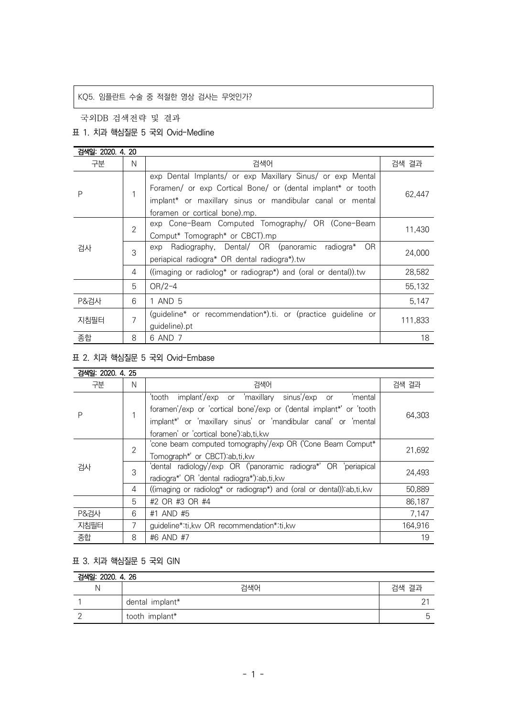# KQ5. 임플란트 수술 중 적절한 영상 검사는 무엇인가?

국외DB 검색전략 및 결과

#### 표 1. 치과 핵심질문 5 국외 Ovid-Medline

| 검색일: 2020, 4, 20 |                |                                                                |         |
|------------------|----------------|----------------------------------------------------------------|---------|
| 구분               | N              | 검색어                                                            | 검색 결과   |
| P                | 1              | exp Dental Implants/ or exp Maxillary Sinus/ or exp Mental     |         |
|                  |                | Foramen/ or exp Cortical Bone/ or (dental implant* or tooth    | 62,447  |
|                  |                | implant* or maxillary sinus or mandibular canal or mental      |         |
|                  |                | foramen or cortical bone).mp.                                  |         |
| 검사               | $\overline{2}$ | exp Cone-Beam Computed Tomography/ OR (Cone-Beam               | 11,430  |
|                  |                | Comput* Tomograph* or CBCT).mp                                 |         |
|                  | 3              | Radiography, Dental/ OR (panoramic radiogra*<br>OR.<br>exp     | 24,000  |
|                  |                | periapical radiogra* OR dental radiogra*).tw                   |         |
|                  | 4              | ((imaging or radiolog* or radiograp*) and (oral or dental)).tw | 28,582  |
|                  | 5              | $OR/2-4$                                                       | 55,132  |
| P&검사             | 6              | 1 AND 5                                                        | 5,147   |
| 지침필터             | 7              | (guideline* or recommendation*).ti. or (practice guideline or  | 111,833 |
|                  |                | guideline).pt                                                  |         |
| 종합               | 8              | 6 AND 7                                                        | 18      |

# 표 2. 치과 핵심질문 5 국외 Ovid-Embase

| 검색일: 2020, 4, 25 |                |                                                                       |         |
|------------------|----------------|-----------------------------------------------------------------------|---------|
| 구분               | N              | 검색어                                                                   | 검색 결과   |
| Ρ                |                | implant'/exp or 'maxillary sinus'/exp or<br>'mental<br>'tooth         | 64,303  |
|                  |                | foramen'/exp or 'cortical bone'/exp or ('dental implant*' or 'tooth   |         |
|                  |                | implant*' or 'maxillary sinus' or 'mandibular canal' or 'mental       |         |
|                  |                | foramen' or 'cortical bone') ab, ti, kw                               |         |
| 검사               | $\overline{2}$ | 'cone beam computed tomography'/exp OR ('Cone Beam Comput*            | 21,692  |
|                  |                | Tomograph*' or CBCT) ab, ti, kw                                       |         |
|                  | 3              | 'dental radiology'/exp OR ('panoramic radiogra*' OR 'periapical       | 24.493  |
|                  |                | radiogra*' OR 'dental radiogra*') ab, ti, kw                          |         |
|                  | 4              | ((imaging or radiolog* or radiograp*) and (oral or dental)):ab,ti, kw | 50.889  |
|                  | 5              | #2 OR #3 OR #4                                                        | 86,187  |
| <b>P&amp;검사</b>  | 6              | #1 AND #5                                                             | 7,147   |
| 지침필터             | 7              | guideline*:ti, kw OR recommendation*:ti, kw                           | 164,916 |
| 종합               | 8              | #6 AND #7                                                             | 19      |

## 표 3. 치과 핵심질문 5 국외 GIN

| 검색일: 2020. 4. 26 |                 |       |  |
|------------------|-----------------|-------|--|
| N                | 검색어             | 검색 결과 |  |
|                  | dental implant* |       |  |
|                  | tooth implant*  |       |  |